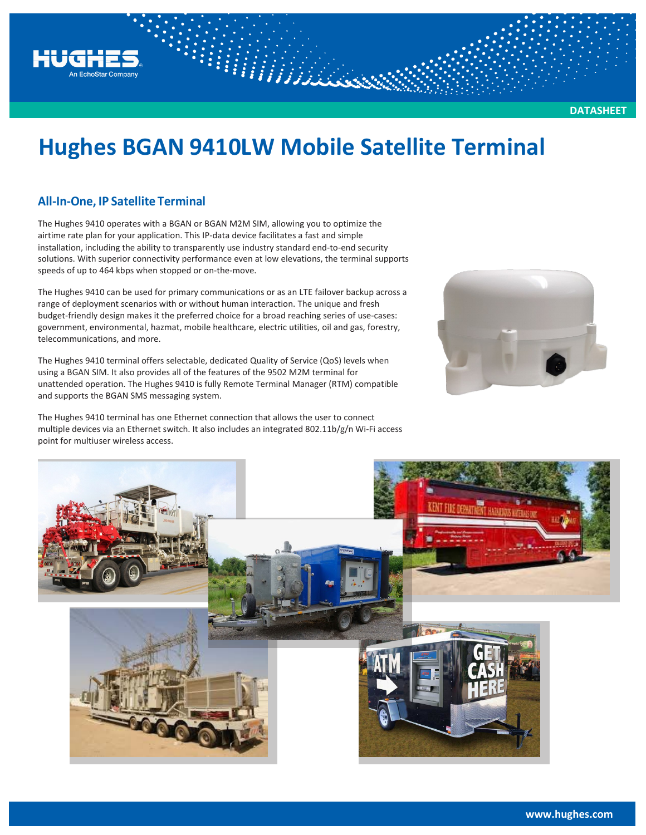

# **Hughes BGAN 9410LW Mobile Satellite Terminal**

### **All-In-One, IP Satellite Terminal**

The Hughes 9410 operates with a BGAN or BGAN M2M SIM, allowing you to optimize the airtime rate plan for your application. This IP-data device facilitates a fast and simple installation, including the ability to transparently use industry standard end-to-end security solutions. With superior connectivity performance even at low elevations, the terminal supports speeds of up to 464 kbps when stopped or on-the-move.

The Hughes 9410 can be used for primary communications or as an LTE failover backup across a range of deployment scenarios with or without human interaction. The unique and fresh budget-friendly design makes it the preferred choice for a broad reaching series of use-cases: government, environmental, hazmat, mobile healthcare, electric utilities, oil and gas, forestry, telecommunications, and more.

The Hughes 9410 terminal offers selectable, dedicated Quality of Service (QoS) levels when using a BGAN SIM. It also provides all of the features of the 9502 M2M terminal for unattended operation. The Hughes 9410 is fully Remote Terminal Manager (RTM) compatible and supports the BGAN SMS messaging system.

The Hughes 9410 terminal has one Ethernet connection that allows the user to connect multiple devices via an Ethernet switch. It also includes an integrated 802.11b/g/n Wi-Fi access point for multiuser wireless access.